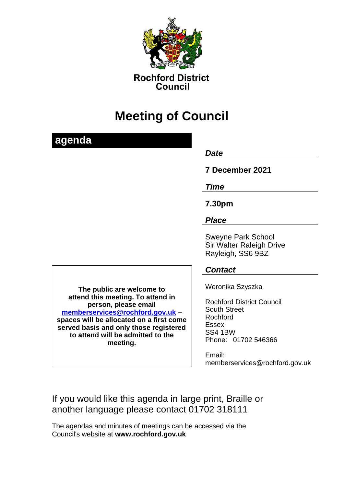

**Rochford District** Council

# **Meeting of Council**

## **agenda**

#### *Date*

## **7 December 2021**

*Time*

**7.30pm**

### *Place*

Sweyne Park School Sir Walter Raleigh Drive Rayleigh, SS6 9BZ

*Contact*

Weronika Szyszka

Rochford District Council South Street Rochford Essex SS4 1BW Phone: 01702 546366

Email: memberservices@rochford.gov.uk

If you would like this agenda in large print, Braille or another language please contact 01702 318111

The agendas and minutes of meetings can be accessed via the Council's website at **[www.rochford.gov.uk](http://www.rochford.gov.uk/)**

**The public are welcome to attend this meeting. To attend in person, please email [memberservices@rochford.gov.uk](mailto:memberservices@rochford.gov.uk) – spaces will be allocated on a first come served basis and only those registered to attend will be admitted to the meeting.**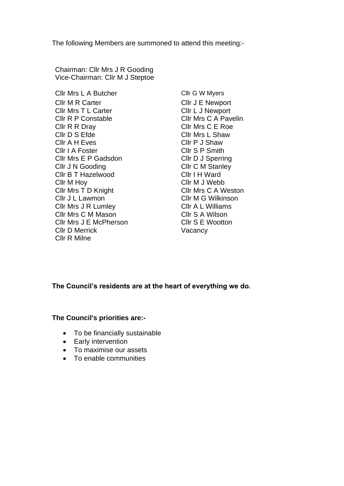The following Members are summoned to attend this meeting:-

Chairman: Cllr Mrs J R Gooding Vice-Chairman: Cllr M J Steptoe

Cllr Mrs L A Butcher Cllr G W Myers Cllr M R Carter Cllr J E Newport Cllr Mrs T L Carter Cllr L J Newport Cllr R P Constable Cllr Mrs C A Pavelin Cllr R R Dray Cllr Mrs C E Roe Cllr D S Efde Cllr Mrs L Shaw Cllr A H Eves Cllr P J Shaw Cllr I A Foster Cllr S P Smith Cllr Mrs E P Gadsdon Cllr D J Sperring Cllr J N Gooding Cllr C M Stanley Cllr B T Hazelwood Cllr I H Ward Cllr M Hoy Cllr M J Webb Cllr Mrs T D Knight Cllr Mrs C A Weston Cllr J L Lawmon Cllr M G Wilkinson Cllr Mrs J R Lumley Cllr A L Williams Cllr Mrs C M Mason Cllr S A Wilson Cllr Mrs J E McPherson Cllr S E Wootton Cllr D Merrick Vacancy Cllr R Milne

#### **The Council's residents are at the heart of everything we do.**

**The Council's priorities are:-**

- To be financially sustainable
- Early intervention
- To maximise our assets
- To enable communities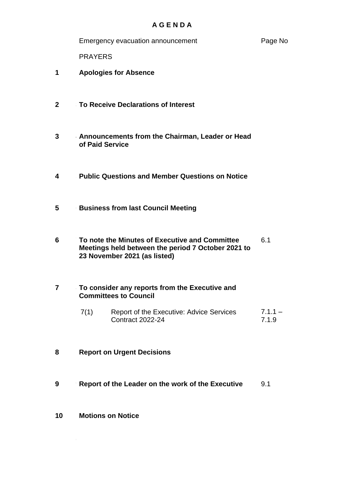#### **A G E N D A**

Emergency evacuation announcement exactle Page No

PRAYERS

- **1** 1**Apologies for Absence**
- **2 3To Receive Declarations of Interest**
- **3 4Announcements from the Chairman, Leader or Head of Paid Service**
- **4 5Public Questions and Member Questions on Notice**
- **5 Business from last Council Meeting**
- **6 7To note the Minutes of Executive and Committee Meetings held between the period 7 October 2021 to 23 November 2021 (as listed)** 6.1

#### **7 8To consider any reports from the Executive and Committees to Council**

- 7(1) Report of the Executive: Advice Services Contract 2022-24  $7.1.1 -$ 7.1.9
- **8 Report on Urgent Decisions**
- **9 9Report of the Leader on the work of the Executive** 9.1
- **10 Motions on Notice**

**0**